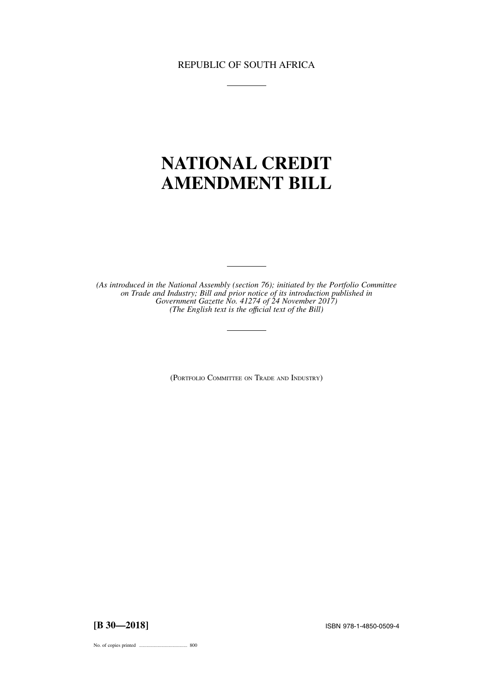# REPUBLIC OF SOUTH AFRICA

# **NATIONAL CREDIT AMENDMENT BILL**

*(As introduced in the National Assembly (section 76); initiated by the Portfolio Committee on Trade and Industry; Bill and prior notice of its introduction published in Government Gazette No. 41274 of 24 November 2017) (The English text is the offıcial text of the Bill)*

(PORTFOLIO COMMITTEE ON TRADE AND INDUSTRY)

**[B 30—2018]** ISBN 978-1-4850-0509-4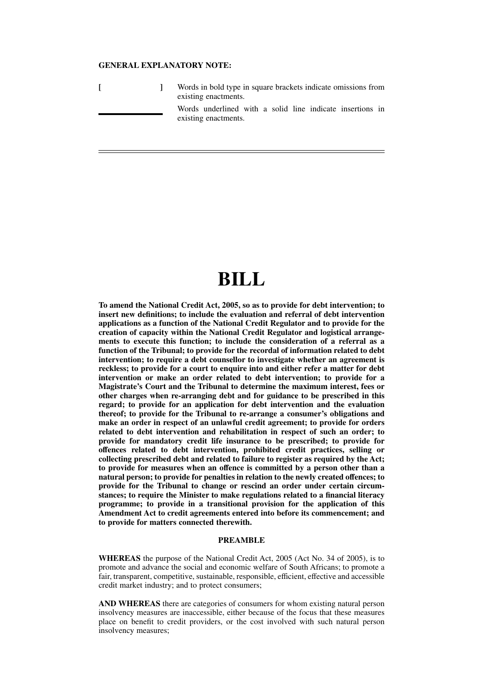#### **GENERAL EXPLANATORY NOTE:**

|  | Words in bold type in square brackets indicate omissions from<br>existing enactments. |
|--|---------------------------------------------------------------------------------------|
|  | Words underlined with a solid line indicate insertions in<br>existing enactments.     |

# **BILL**

**To amend the National Credit Act, 2005, so as to provide for debt intervention; to insert new definitions; to include the evaluation and referral of debt intervention applications as a function of the National Credit Regulator and to provide for the creation of capacity within the National Credit Regulator and logistical arrangements to execute this function; to include the consideration of a referral as a function of the Tribunal; to provide for the recordal of information related to debt intervention; to require a debt counsellor to investigate whether an agreement is reckless; to provide for a court to enquire into and either refer a matter for debt intervention or make an order related to debt intervention; to provide for a Magistrate's Court and the Tribunal to determine the maximum interest, fees or other charges when re-arranging debt and for guidance to be prescribed in this regard; to provide for an application for debt intervention and the evaluation thereof; to provide for the Tribunal to re-arrange a consumer's obligations and make an order in respect of an unlawful credit agreement; to provide for orders related to debt intervention and rehabilitation in respect of such an order; to provide for mandatory credit life insurance to be prescribed; to provide for offences related to debt intervention, prohibited credit practices, selling or collecting prescribed debt and related to failure to register as required by the Act; to provide for measures when an offence is committed by a person other than a natural person; to provide for penalties in relation to the newly created offences; to provide for the Tribunal to change or rescind an order under certain circumstances; to require the Minister to make regulations related to a financial literacy programme; to provide in a transitional provision for the application of this Amendment Act to credit agreements entered into before its commencement; and to provide for matters connected therewith.**

#### **PREAMBLE**

**WHEREAS** the purpose of the National Credit Act, 2005 (Act No. 34 of 2005), is to promote and advance the social and economic welfare of South Africans; to promote a fair, transparent, competitive, sustainable, responsible, efficient, effective and accessible credit market industry; and to protect consumers;

**AND WHEREAS** there are categories of consumers for whom existing natural person insolvency measures are inaccessible, either because of the focus that these measures place on benefit to credit providers, or the cost involved with such natural person insolvency measures;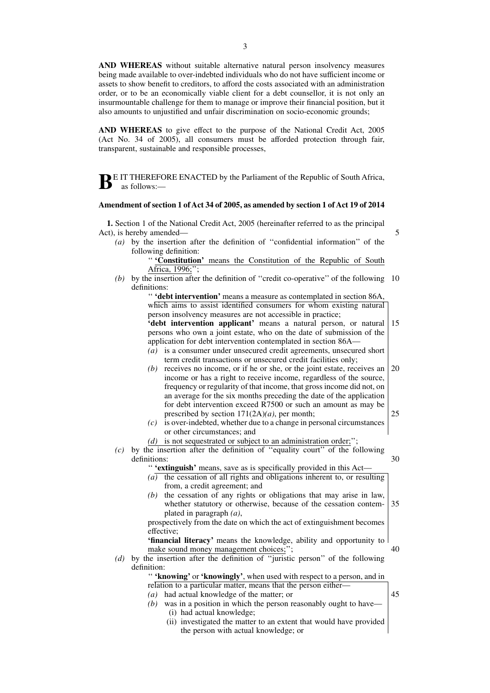**AND WHEREAS** without suitable alternative natural person insolvency measures being made available to over-indebted individuals who do not have sufficient income or assets to show benefit to creditors, to afford the costs associated with an administration order, or to be an economically viable client for a debt counsellor, it is not only an insurmountable challenge for them to manage or improve their financial position, but it also amounts to unjustified and unfair discrimination on socio-economic grounds;

**AND WHEREAS** to give effect to the purpose of the National Credit Act, 2005 (Act No. 34 of 2005), all consumers must be afforded protection through fair, transparent, sustainable and responsible processes,

**B**E IT THEREFORE ENACTED by the Parliament of the Republic of South Africa, as follows:—

#### **Amendment of section 1 of Act 34 of 2005, as amended by section 1 of Act 19 of 2014**

**1.** Section 1 of the National Credit Act, 2005 (hereinafter referred to as the principal Act), is hereby amended—

*(a)* by the insertion after the definition of ''confidential information'' of the following definition:

'' **'Constitution'** means the Constitution of the Republic of South Africa, 1996;'';

(b) by the insertion after the definition of "credit co-operative" of the following 10 definitions:

> '' **'debt intervention'** means a measure as contemplated in section 86A, which aims to assist identified consumers for whom existing natural person insolvency measures are not accessible in practice;

- **'debt intervention applicant'** means a natural person, or natural persons who own a joint estate, who on the date of submission of the application for debt intervention contemplated in section 86A— 15
- *(a)* is a consumer under unsecured credit agreements, unsecured short term credit transactions or unsecured credit facilities only;
- *(b)* receives no income, or if he or she, or the joint estate, receives an income or has a right to receive income, regardless of the source, frequency or regularity of that income, that gross income did not, on an average for the six months preceding the date of the application for debt intervention exceed R7500 or such an amount as may be prescribed by section 171(2A)*(a)*, per month; 20 25
- *(c)* is over-indebted, whether due to a change in personal circumstances or other circumstances; and
- *(d)* is not sequestrated or subject to an administration order;'';
- *(c)* by the insertion after the definition of ''equality court'' of the following definitions: 30

'' **'extinguish'** means, save as is specifically provided in this Act—

- *(a)* the cessation of all rights and obligations inherent to, or resulting from, a credit agreement; and
- *(b)* the cessation of any rights or obligations that may arise in law, whether statutory or otherwise, because of the cessation contemplated in paragraph *(a)*, 35

prospectively from the date on which the act of extinguishment becomes effective;

**'financial literacy'** means the knowledge, ability and opportunity to make sound money management choices;''; 40

*(d)* by the insertion after the definition of ''juristic person'' of the following definition:

'' **'knowing'** or **'knowingly'**, when used with respect to a person, and in relation to a particular matter, means that the person either—

*(a)* had actual knowledge of the matter; or

45

5

- *(b)* was in a position in which the person reasonably ought to have— (i) had actual knowledge;
	- (ii) investigated the matter to an extent that would have provided the person with actual knowledge; or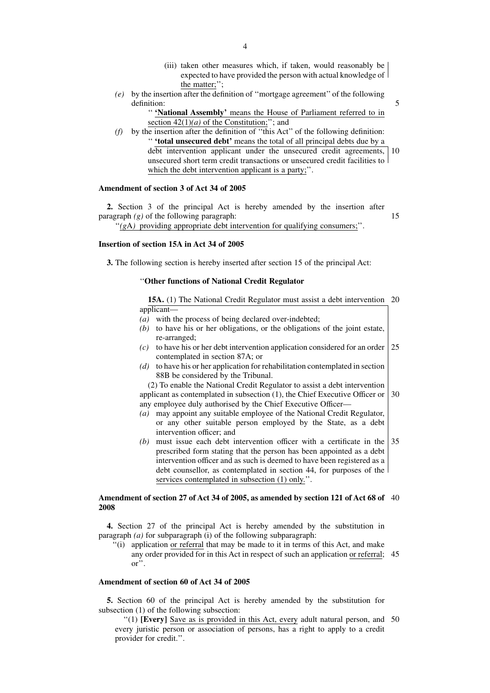- (iii) taken other measures which, if taken, would reasonably be expected to have provided the person with actual knowledge of the matter;'';
- *(e)* by the insertion after the definition of ''mortgage agreement'' of the following definition:
	- '' **'National Assembly'** means the House of Parliament referred to in section  $42(1)(a)$  of the Constitution;"; and
- *(f)* by the insertion after the definition of ''this Act'' of the following definition: '' **'total unsecured debt'** means the total of all principal debts due by a debt intervention applicant under the unsecured credit agreements, 10 unsecured short term credit transactions or unsecured credit facilities to which the debt intervention applicant is a party;".

#### **Amendment of section 3 of Act 34 of 2005**

**2.** Section 3 of the principal Act is hereby amended by the insertion after paragraph *(g)* of the following paragraph:

''*(g*A*)* providing appropriate debt intervention for qualifying consumers;''.

15

5

## **Insertion of section 15A in Act 34 of 2005**

**3.** The following section is hereby inserted after section 15 of the principal Act:

## ''**Other functions of National Credit Regulator**

**15A.** (1) The National Credit Regulator must assist a debt intervention 20 applicant—

- *(a)* with the process of being declared over-indebted;
- *(b)* to have his or her obligations, or the obligations of the joint estate, re-arranged;
- *(c)* to have his or her debt intervention application considered for an order contemplated in section 87A; or 25
- *(d)* to have his or her application for rehabilitation contemplated in section 88B be considered by the Tribunal.

(2) To enable the National Credit Regulator to assist a debt intervention applicant as contemplated in subsection (1), the Chief Executive Officer or 30 any employee duly authorised by the Chief Executive Officer—

- *(a)* may appoint any suitable employee of the National Credit Regulator, or any other suitable person employed by the State, as a debt intervention officer; and
- *(b)* must issue each debt intervention officer with a certificate in the prescribed form stating that the person has been appointed as a debt intervention officer and as such is deemed to have been registered as a debt counsellor, as contemplated in section 44, for purposes of the services contemplated in subsection (1) only.''. 35

#### **Amendment of section 27 of Act 34 of 2005, as amended by section 121 of Act 68 of** 40 **2008**

**4.** Section 27 of the principal Act is hereby amended by the substitution in paragraph *(a)* for subparagraph (i) of the following subparagraph:

''(i) application or referral that may be made to it in terms of this Act, and make any order provided for in this Act in respect of such an application or referral; 45 or''.

#### **Amendment of section 60 of Act 34 of 2005**

**5.** Section 60 of the principal Act is hereby amended by the substitution for subsection (1) of the following subsection:

''(1) **[Every]** Save as is provided in this Act, every adult natural person, and 50every juristic person or association of persons, has a right to apply to a credit provider for credit.''.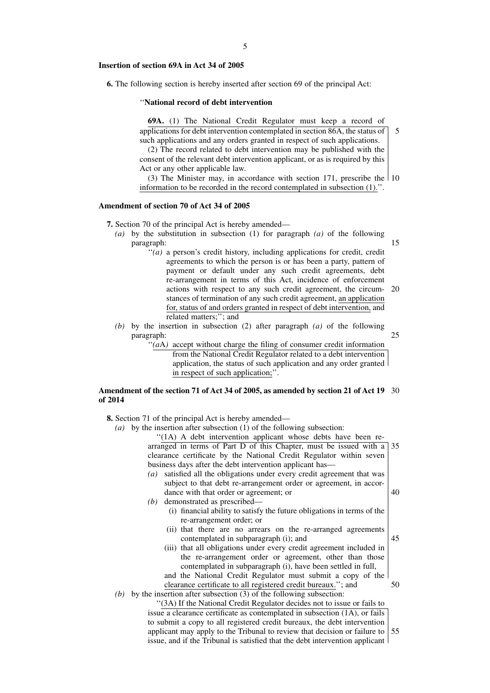#### **Insertion of section 69A in Act 34 of 2005**

**6.** The following section is hereby inserted after section 69 of the principal Act:

#### ''**National record of debt intervention**

**69A.** (1) The National Credit Regulator must keep a record of applications for debt intervention contemplated in section 86A, the status of such applications and any orders granted in respect of such applications.

(2) The record related to debt intervention may be published with the consent of the relevant debt intervention applicant, or as is required by this Act or any other applicable law.

(3) The Minister may, in accordance with section 171, prescribe the 10 information to be recorded in the record contemplated in subsection (1).''.

#### **Amendment of section 70 of Act 34 of 2005**

**7.** Section 70 of the principal Act is hereby amended—

- *(a)* by the substitution in subsection (1) for paragraph *(a)* of the following paragraph: 15
	- $''(a)$  a person's credit history, including applications for credit, credit agreements to which the person is or has been a party, pattern of payment or default under any such credit agreements, debt re-arrangement in terms of this Act, incidence of enforcement actions with respect to any such credit agreement, the circum-20 stances of termination of any such credit agreement, an application for, status of and orders granted in respect of debt intervention, and related matters;''; and
- *(b)* by the insertion in subsection (2) after paragraph *(a)* of the following paragraph:
	- "(*a*A) accept without charge the filing of consumer credit information from the National Credit Regulator related to a debt intervention application, the status of such application and any order granted in respect of such application;''.

#### **Amendment of the section 71 of Act 34 of 2005, as amended by section 21 of Act 19** 30 **of 2014**

**8.** Section 71 of the principal Act is hereby amended—

*(b)* demonstrated as prescribed—

*(a)* by the insertion after subsection (1) of the following subsection:

"(1A) A debt intervention applicant whose debts have been rearranged in terms of Part D of this Chapter, must be issued with a 35 clearance certificate by the National Credit Regulator within seven business days after the debt intervention applicant has—

- *(a)* satisfied all the obligations under every credit agreement that was subject to that debt re-arrangement order or agreement, in accordance with that order or agreement; or
	- 40

45

25

5

- (i) financial ability to satisfy the future obligations in terms of the re-arrangement order; or
- (ii) that there are no arrears on the re-arranged agreements contemplated in subparagraph (i); and
- (iii) that all obligations under every credit agreement included in the re-arrangement order or agreement, other than those contemplated in subparagraph (i), have been settled in full, and the National Credit Regulator must submit a copy of the
	- 50
- clearance certificate to all registered credit bureaux.''; and *(b)* by the insertion after subsection (3) of the following subsection:

''(3A) If the National Credit Regulator decides not to issue or fails to issue a clearance certificate as contemplated in subsection (1A), or fails to submit a copy to all registered credit bureaux, the debt intervention applicant may apply to the Tribunal to review that decision or failure to issue, and if the Tribunal is satisfied that the debt intervention applicant 55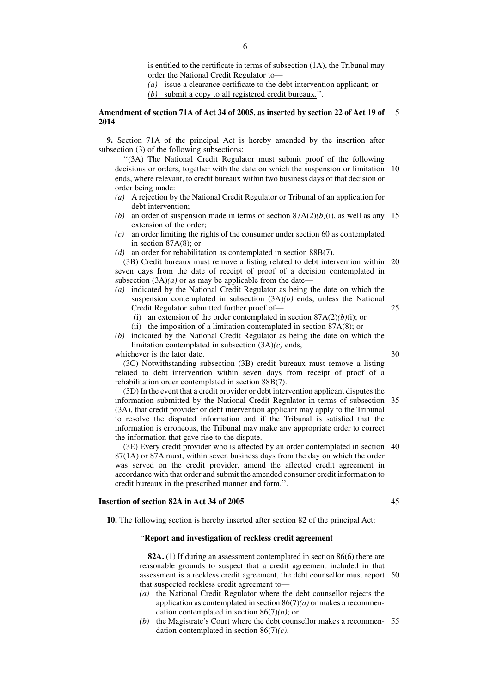is entitled to the certificate in terms of subsection (1A), the Tribunal may order the National Credit Regulator to—

*(a)* issue a clearance certificate to the debt intervention applicant; or

*(b)* submit a copy to all registered credit bureaux.''.

#### **Amendment of section 71A of Act 34 of 2005, as inserted by section 22 of Act 19 of 2014** 5

**9.** Section 71A of the principal Act is hereby amended by the insertion after subsection (3) of the following subsections:

''(3A) The National Credit Regulator must submit proof of the following decisions or orders, together with the date on which the suspension or limitation ends, where relevant, to credit bureaux within two business days of that decision or order being made: 10

- *(a)* A rejection by the National Credit Regulator or Tribunal of an application for debt intervention;
- *(b)* an order of suspension made in terms of section 87A(2)*(b)*(i), as well as any extension of the order; 15
- *(c)* an order limiting the rights of the consumer under section 60 as contemplated in section 87A(8); or
- *(d)* an order for rehabilitation as contemplated in section 88B(7).

(3B) Credit bureaux must remove a listing related to debt intervention within seven days from the date of receipt of proof of a decision contemplated in subsection  $(3A)(a)$  or as may be applicable from the date-20

- *(a)* indicated by the National Credit Regulator as being the date on which the suspension contemplated in subsection (3A)*(b)* ends, unless the National Credit Regulator submitted further proof of— 25
	- (i) an extension of the order contemplated in section 87A(2)*(b)*(i); or
	- (ii) the imposition of a limitation contemplated in section 87A(8); or
- *(b)* indicated by the National Credit Regulator as being the date on which the limitation contemplated in subsection (3A)*(c)* ends,

30

whichever is the later date. (3C) Notwithstanding subsection (3B) credit bureaux must remove a listing related to debt intervention within seven days from receipt of proof of a

rehabilitation order contemplated in section 88B(7).

(3D) In the event that a credit provider or debt intervention applicant disputes the information submitted by the National Credit Regulator in terms of subsection (3A), that credit provider or debt intervention applicant may apply to the Tribunal to resolve the disputed information and if the Tribunal is satisfied that the information is erroneous, the Tribunal may make any appropriate order to correct the information that gave rise to the dispute. 35

(3E) Every credit provider who is affected by an order contemplated in section 87(1A) or 87A must, within seven business days from the day on which the order was served on the credit provider, amend the affected credit agreement in accordance with that order and submit the amended consumer credit information to credit bureaux in the prescribed manner and form.''. 40

#### **Insertion of section 82A in Act 34 of 2005**

45

**10.** The following section is hereby inserted after section 82 of the principal Act:

#### ''**Report and investigation of reckless credit agreement**

**82A.** (1) If during an assessment contemplated in section 86(6) there are reasonable grounds to suspect that a credit agreement included in that assessment is a reckless credit agreement, the debt counsellor must report that suspected reckless credit agreement to— 50

- *(a)* the National Credit Regulator where the debt counsellor rejects the application as contemplated in section 86(7)*(a)* or makes a recommendation contemplated in section 86(7)*(b)*; or
- *(b)* the Magistrate's Court where the debt counsellor makes a recommendation contemplated in section 86(7)*(c)*. 55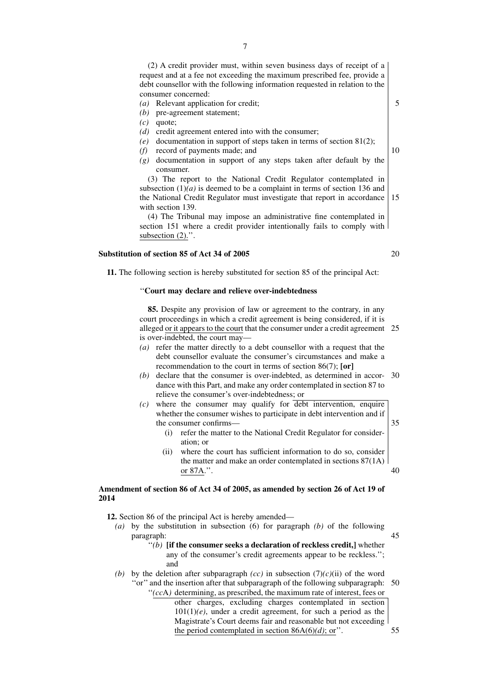(2) A credit provider must, within seven business days of receipt of a request and at a fee not exceeding the maximum prescribed fee, provide a debt counsellor with the following information requested in relation to the consumer concerned:

- *(a)* Relevant application for credit;
- *(b)* pre-agreement statement;

*(c)* quote;

- *(d)* credit agreement entered into with the consumer;
- *(e)* documentation in support of steps taken in terms of section 81(2);
- *(f)* record of payments made; and
- *(g)* documentation in support of any steps taken after default by the consumer.

(3) The report to the National Credit Regulator contemplated in subsection  $(1)(a)$  is deemed to be a complaint in terms of section 136 and the National Credit Regulator must investigate that report in accordance with section 139. 15

(4) The Tribunal may impose an administrative fine contemplated in section 151 where a credit provider intentionally fails to comply with subsection  $(2)$ .".

#### **Substitution of section 85 of Act 34 of 2005**

20

5

10

**11.** The following section is hereby substituted for section 85 of the principal Act:

#### ''**Court may declare and relieve over-indebtedness**

**85.** Despite any provision of law or agreement to the contrary, in any court proceedings in which a credit agreement is being considered, if it is alleged or it appears to the court that the consumer under a credit agreement 25 is over-indebted, the court may—

- *(a)* refer the matter directly to a debt counsellor with a request that the debt counsellor evaluate the consumer's circumstances and make a recommendation to the court in terms of section 86(7); **[or]**
- *(b)* declare that the consumer is over-indebted, as determined in accor-30 dance with this Part, and make any order contemplated in section 87 to relieve the consumer's over-indebtedness; or
- $(c)$  where the consumer may qualify for  $\overline{debt}$  intervention, enquire whether the consumer wishes to participate in debt intervention and if the consumer confirms—
	- (i) refer the matter to the National Credit Regulator for consideration; or
	- (ii) where the court has sufficient information to do so, consider the matter and make an order contemplated in sections 87(1A) or 87A.''. 40

#### **Amendment of section 86 of Act 34 of 2005, as amended by section 26 of Act 19 of 2014**

**12.** Section 86 of the principal Act is hereby amended—

*(a)* by the substitution in subsection (6) for paragraph *(b)* of the following paragraph:

45

35

#### ''*(b)* **[if the consumer seeks a declaration of reckless credit,]** whether any of the consumer's credit agreements appear to be reckless.''; and

- *(b)* by the deletion after subparagraph  $(cc)$  in subsection  $(7)(c)(ii)$  of the word
	- "or" and the insertion after that subparagraph of the following subparagraph: 50 ''*(cc*A*)* determining, as prescribed, the maximum rate of interest, fees or other charges, excluding charges contemplated in section 101(1)*(e)*, under a credit agreement, for such a period as the Magistrate's Court deems fair and reasonable but not exceeding the period contemplated in section  $86A(6)(d)$ ; or".

7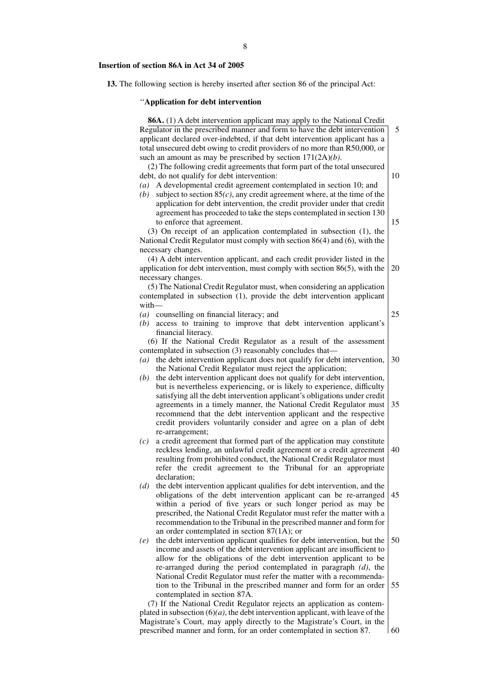#### **Insertion of section 86A in Act 34 of 2005**

**13.** The following section is hereby inserted after section 86 of the principal Act:

5

10

15

60

#### ''**Application for debt intervention**

**86A.** (1) A debt intervention applicant may apply to the National Credit Regulator in the prescribed manner and form to have the debt intervention applicant declared over-indebted, if that debt intervention applicant has a total unsecured debt owing to credit providers of no more than R50,000, or such an amount as may be prescribed by section 171(2A)*(b)*. (2) The following credit agreements that form part of the total unsecured debt, do not qualify for debt intervention: *(a)* A developmental credit agreement contemplated in section 10; and *(b)* subject to section 85*(c)*, any credit agreement where, at the time of the application for debt intervention, the credit provider under that credit agreement has proceeded to take the steps contemplated in section 130 to enforce that agreement. (3) On receipt of an application contemplated in subsection (1), the National Credit Regulator must comply with section 86(4) and (6), with the necessary changes. (4) A debt intervention applicant, and each credit provider listed in the application for debt intervention, must comply with section 86(5), with the necessary changes. (5) The National Credit Regulator must, when considering an application contemplated in subsection (1), provide the debt intervention applicant with— *(a)* counselling on financial literacy; and *(b)* access to training to improve that debt intervention applicant's financial literacy. (6) If the National Credit Regulator as a result of the assessment contemplated in subsection (3) reasonably concludes that— *(a)* the debt intervention applicant does not qualify for debt intervention, the National Credit Regulator must reject the application; *(b)* the debt intervention applicant does not qualify for debt intervention, but is nevertheless experiencing, or is likely to experience, difficulty satisfying all the debt intervention applicant's obligations under credit agreements in a timely manner, the National Credit Regulator must recommend that the debt intervention applicant and the respective credit providers voluntarily consider and agree on a plan of debt re-arrangement; *(c)* a credit agreement that formed part of the application may constitute reckless lending, an unlawful credit agreement or a credit agreement resulting from prohibited conduct, the National Credit Regulator must refer the credit agreement to the Tribunal for an appropriate declaration; *(d)* the debt intervention applicant qualifies for debt intervention, and the obligations of the debt intervention applicant can be re-arranged within a period of five years or such longer period as may be prescribed, the National Credit Regulator must refer the matter with a recommendation to the Tribunal in the prescribed manner and form for an order contemplated in section 87(1A); or *(e)* the debt intervention applicant qualifies for debt intervention, but the income and assets of the debt intervention applicant are insufficient to allow for the obligations of the debt intervention applicant to be re-arranged during the period contemplated in paragraph *(d)*, the National Credit Regulator must refer the matter with a recommendation to the Tribunal in the prescribed manner and form for an order contemplated in section 87A. (7) If the National Credit Regulator rejects an application as contemplated in subsection  $(6)(a)$ , the debt intervention applicant, with leave of the Magistrate's Court, may apply directly to the Magistrate's Court, in the 20 25 30 35 40 45 50 55

prescribed manner and form, for an order contemplated in section 87.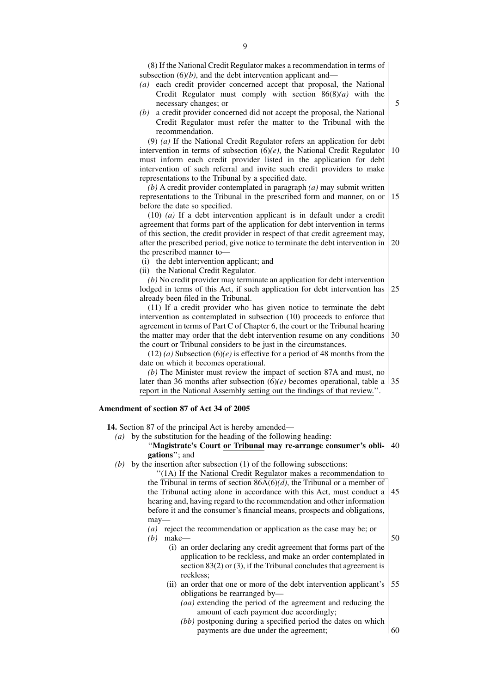(8) If the National Credit Regulator makes a recommendation in terms of subsection  $(6)(b)$ , and the debt intervention applicant and—

- *(a)* each credit provider concerned accept that proposal, the National Credit Regulator must comply with section 86(8)*(a)* with the necessary changes; or
- 5

50

*(b)* a credit provider concerned did not accept the proposal, the National Credit Regulator must refer the matter to the Tribunal with the recommendation.

(9) *(a)* If the National Credit Regulator refers an application for debt intervention in terms of subsection (6)*(e)*, the National Credit Regulator must inform each credit provider listed in the application for debt intervention of such referral and invite such credit providers to make representations to the Tribunal by a specified date. 10

*(b)* A credit provider contemplated in paragraph *(a)* may submit written representations to the Tribunal in the prescribed form and manner, on or before the date so specified. 15

(10) *(a)* If a debt intervention applicant is in default under a credit agreement that forms part of the application for debt intervention in terms of this section, the credit provider in respect of that credit agreement may, after the prescribed period, give notice to terminate the debt intervention in the prescribed manner to— 20

(i) the debt intervention applicant; and

(ii) the National Credit Regulator.

*(b)* No credit provider may terminate an application for debt intervention lodged in terms of this Act, if such application for debt intervention has already been filed in the Tribunal. 25

(11) If a credit provider who has given notice to terminate the debt intervention as contemplated in subsection (10) proceeds to enforce that agreement in terms of Part C of Chapter 6, the court or the Tribunal hearing the matter may order that the debt intervention resume on any conditions the court or Tribunal considers to be just in the circumstances. 30

 $(12)$  *(a)* Subsection  $(6)$  *(e)* is effective for a period of 48 months from the date on which it becomes operational.

*(b)* The Minister must review the impact of section 87A and must, no later than 36 months after subsection (6)*(e)* becomes operational, table a 35 report in the National Assembly setting out the findings of that review.''.

#### **Amendment of section 87 of Act 34 of 2005**

**14.** Section 87 of the principal Act is hereby amended—

*(a)* by the substitution for the heading of the following heading:

#### ''**Magistrate's Court or Tribunal may re-arrange consumer's obli-**40 **gations**''; and

*(b)* by the insertion after subsection (1) of the following subsections:

''(1A) If the National Credit Regulator makes a recommendation to the Tribunal in terms of section 86A(6)*(d)*, the Tribunal or a member of the Tribunal acting alone in accordance with this Act, must conduct a hearing and, having regard to the recommendation and other information before it and the consumer's financial means, prospects and obligations, may— 45

*(a)* reject the recommendation or application as the case may be; or

*(b)* make—

(i) an order declaring any credit agreement that forms part of the application to be reckless, and make an order contemplated in section 83(2) or (3), if the Tribunal concludes that agreement is reckless;

- (ii) an order that one or more of the debt intervention applicant's obligations be rearranged by— 55
	- *(aa)* extending the period of the agreement and reducing the amount of each payment due accordingly;
	- *(bb)* postponing during a specified period the dates on which payments are due under the agreement; 60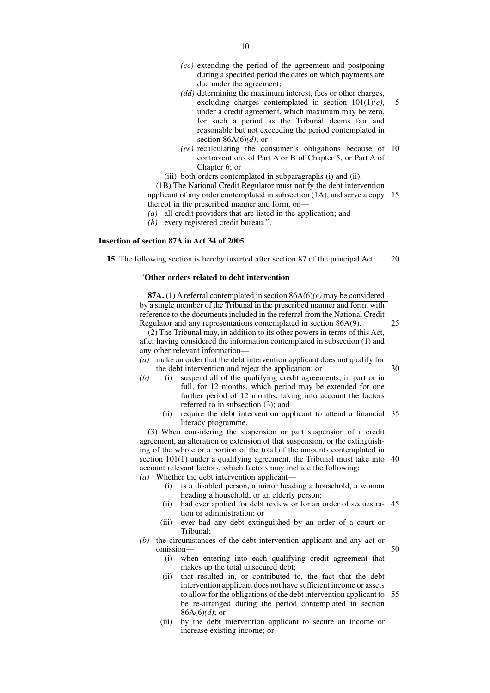- *(cc)* extending the period of the agreement and postponing during a specified period the dates on which payments are due under the agreement;
- *(dd)* determining the maximum interest, fees or other charges, excluding charges contemplated in section 101(1)*(e)*, under a credit agreement, which maximum may be zero, for such a period as the Tribunal deems fair and reasonable but not exceeding the period contemplated in section 86A(6)*(d)*; or 5
- *(ee)* recalculating the consumer's obligations because of contraventions of Part A or B of Chapter 5, or Part A of Chapter 6; or 10

15

25

30

(iii) both orders contemplated in subparagraphs (i) and (ii).

(1B) The National Credit Regulator must notify the debt intervention applicant of any order contemplated in subsection (1A), and serve a copy thereof in the prescribed manner and form, on— *(a)* all credit providers that are listed in the application; and

*(b)* every registered credit bureau.''.

#### **Insertion of section 87A in Act 34 of 2005**

**15.** The following section is hereby inserted after section 87 of the principal Act: 20

#### ''**Other orders related to debt intervention**

**87A.** (1) A referral contemplated in section 86A(6)*(e)* may be considered by a single member of the Tribunal in the prescribed manner and form, with reference to the documents included in the referral from the National Credit Regulator and any representations contemplated in section 86A(9).

(2) The Tribunal may, in addition to its other powers in terms of this Act, after having considered the information contemplated in subsection (1) and any other relevant information—

- *(a)* make an order that the debt intervention applicant does not qualify for the debt intervention and reject the application; or
- *(b)* (i) suspend all of the qualifying credit agreements, in part or in full, for 12 months, which period may be extended for one further period of 12 months, taking into account the factors referred to in subsection (3); and
	- (ii) require the debt intervention applicant to attend a financial literacy programme. 35

(3) When considering the suspension or part suspension of a credit agreement, an alteration or extension of that suspension, or the extinguishing of the whole or a portion of the total of the amounts contemplated in section 101(1) under a qualifying agreement, the Tribunal must take into account relevant factors, which factors may include the following: *(a)* Whether the debt intervention applicant— 40

- (i) is a disabled person, a minor heading a household, a woman heading a household, or an elderly person;
- (ii) had ever applied for debt review or for an order of sequestration or administration; or 45
- (iii) ever had any debt extinguished by an order of a court or Tribunal;

*(b)* the circumstances of the debt intervention applicant and any act or omission— 50

- (i) when entering into each qualifying credit agreement that makes up the total unsecured debt;
- (ii) that resulted in, or contributed to, the fact that the debt intervention applicant does not have sufficient income or assets to allow for the obligations of the debt intervention applicant to be re-arranged during the period contemplated in section 86A(6)*(d)*; or 55
- (iii) by the debt intervention applicant to secure an income or increase existing income; or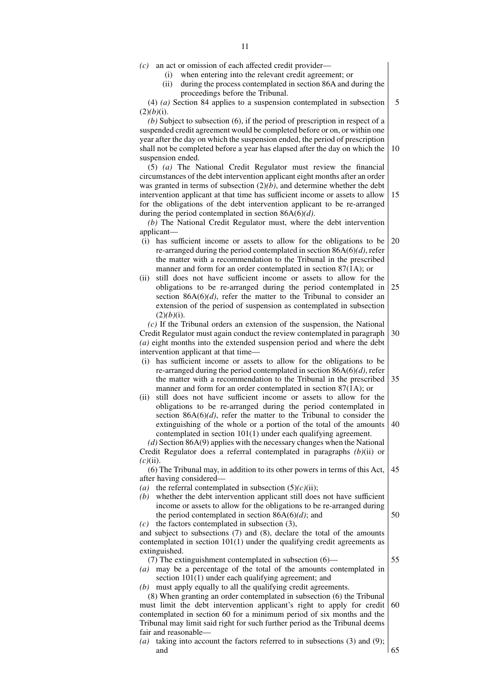- *(c)* an act or omission of each affected credit provider—
	- (i) when entering into the relevant credit agreement; or
	- (ii) during the process contemplated in section 86A and during the proceedings before the Tribunal.

(4) *(a)* Section 84 applies to a suspension contemplated in subsection  $(2)(b)(i)$ . 5

*(b)* Subject to subsection (6), if the period of prescription in respect of a suspended credit agreement would be completed before or on, or within one year after the day on which the suspension ended, the period of prescription shall not be completed before a year has elapsed after the day on which the suspension ended. 10

(5) *(a)* The National Credit Regulator must review the financial circumstances of the debt intervention applicant eight months after an order was granted in terms of subsection  $(2)(\tilde{b})$ , and determine whether the debt intervention applicant at that time has sufficient income or assets to allow for the obligations of the debt intervention applicant to be re-arranged 15

during the period contemplated in section 86A(6)*(d)*. *(b)* The National Credit Regulator must, where the debt intervention applicant—

- (i) has sufficient income or assets to allow for the obligations to be re-arranged during the period contemplated in section 86A(6)*(d)*, refer the matter with a recommendation to the Tribunal in the prescribed manner and form for an order contemplated in section 87(1A); or  $20$
- (ii) still does not have sufficient income or assets to allow for the obligations to be re-arranged during the period contemplated in section  $86A(6)/d$ , refer the matter to the Tribunal to consider an extension of the period of suspension as contemplated in subsection  $(2)(b)(i)$ . 25

*(c)* If the Tribunal orders an extension of the suspension, the National Credit Regulator must again conduct the review contemplated in paragraph *(a)* eight months into the extended suspension period and where the debt intervention applicant at that time— 30

- (i) has sufficient income or assets to allow for the obligations to be re-arranged during the period contemplated in section 86A(6)*(d)*, refer the matter with a recommendation to the Tribunal in the prescribed manner and form for an order contemplated in section 87(1A); or 35
- (ii) still does not have sufficient income or assets to allow for the obligations to be re-arranged during the period contemplated in section  $86A(6)(d)$ , refer the matter to the Tribunal to consider the extinguishing of the whole or a portion of the total of the amounts contemplated in section 101(1) under each qualifying agreement. 40

*(d)* Section 86A(9) applies with the necessary changes when the National Credit Regulator does a referral contemplated in paragraphs *(b)*(ii) or *(c)*(ii).

(6) The Tribunal may, in addition to its other powers in terms of this Act, after having considered— 45

- *(a)* the referral contemplated in subsection  $(5)(c)(ii)$ ;
- *(b)* whether the debt intervention applicant still does not have sufficient income or assets to allow for the obligations to be re-arranged during the period contemplated in section 86A(6)*(d)*; and

*(c)* the factors contemplated in subsection (3), and subject to subsections (7) and (8), declare the total of the amounts contemplated in section 101(1) under the qualifying credit agreements as

(7) The extinguishment contemplated in subsection (6)—

extinguished.

*(a)* may be a percentage of the total of the amounts contemplated in section 101(1) under each qualifying agreement; and

*(b)* must apply equally to all the qualifying credit agreements.

(8) When granting an order contemplated in subsection (6) the Tribunal must limit the debt intervention applicant's right to apply for credit contemplated in section 60 for a minimum period of six months and the Tribunal may limit said right for such further period as the Tribunal deems fair and reasonable— 60

*(a)* taking into account the factors referred to in subsections (3) and (9); and 65

55

- 
- -

50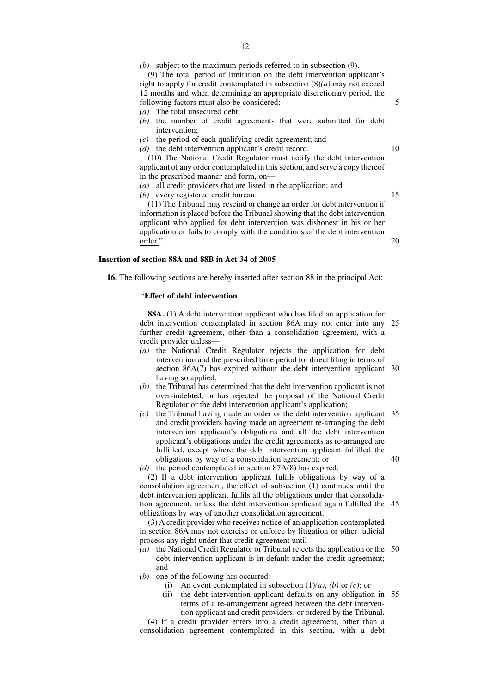(9) The total period of limitation on the debt intervention applicant's right to apply for credit contemplated in subsection (8)*(a)* may not exceed 12 months and when determining an appropriate discretionary period, the following factors must also be considered: *(a)* The total unsecured debt;

5

10

15

20

- *(b)* the number of credit agreements that were submitted for debt intervention;
- *(c)* the period of each qualifying credit agreement; and
- *(d)* the debt intervention applicant's credit record.

(10) The National Credit Regulator must notify the debt intervention applicant of any order contemplated in this section, and serve a copy thereof in the prescribed manner and form, on—

- *(a)* all credit providers that are listed in the application; and
- *(b)* every registered credit bureau.

(11) The Tribunal may rescind or change an order for debt intervention if information is placed before the Tribunal showing that the debt intervention applicant who applied for debt intervention was dishonest in his or her application or fails to comply with the conditions of the debt intervention order.''.

#### **Insertion of section 88A and 88B in Act 34 of 2005**

**16.** The following sections are hereby inserted after section 88 in the principal Act:

#### ''**Effect of debt intervention**

**88A.** (1) A debt intervention applicant who has filed an application for debt intervention contemplated in section 86A may not enter into any further credit agreement, other than a consolidation agreement, with a credit provider unless—  $25$ 

- *(a)* the National Credit Regulator rejects the application for debt intervention and the prescribed time period for direct filing in terms of section 86A(7) has expired without the debt intervention applicant having so applied: 30
- *(b)* the Tribunal has determined that the debt intervention applicant is not over-indebted, or has rejected the proposal of the National Credit Regulator or the debt intervention applicant's application;
- *(c)* the Tribunal having made an order or the debt intervention applicant and credit providers having made an agreement re-arranging the debt intervention applicant's obligations and all the debt intervention applicant's obligations under the credit agreements as re-arranged are fulfilled, except where the debt intervention applicant fulfilled the obligations by way of a consolidation agreement; or 35 40

*(d)* the period contemplated in section 87A(8) has expired. (2) If a debt intervention applicant fulfils obligations by way of a consolidation agreement, the effect of subsection (1) continues until the debt intervention applicant fulfils all the obligations under that consolidation agreement, unless the debt intervention applicant again fulfilled the obligations by way of another consolidation agreement. 45

(3) A credit provider who receives notice of an application contemplated in section 86A may not exercise or enforce by litigation or other judicial process any right under that credit agreement until—

- *(a)* the National Credit Regulator or Tribunal rejects the application or the debt intervention applicant is in default under the credit agreement; and 50
- *(b)* one of the following has occurred:
	- (i) An event contemplated in subsection  $(1)(a)$ ,  $(b)$  or  $(c)$ ; or
	- (ii) the debt intervention applicant defaults on any obligation in terms of a re-arrangement agreed between the debt intervention applicant and credit providers, or ordered by the Tribunal. 55

(4) If a credit provider enters into a credit agreement, other than a consolidation agreement contemplated in this section, with a debt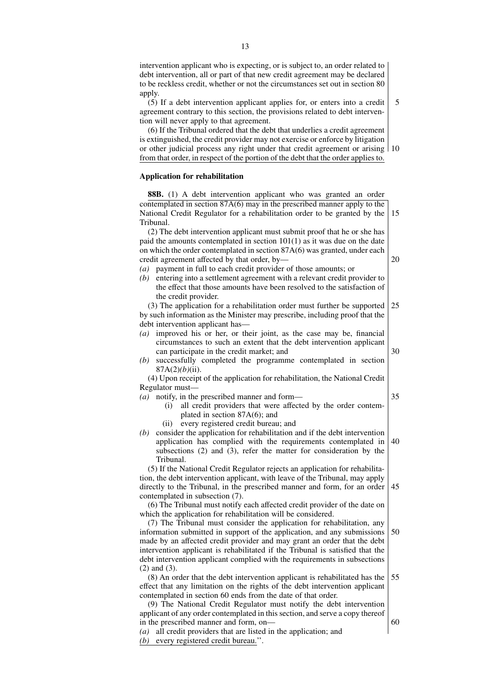intervention applicant who is expecting, or is subject to, an order related to debt intervention, all or part of that new credit agreement may be declared to be reckless credit, whether or not the circumstances set out in section 80 apply.

(5) If a debt intervention applicant applies for, or enters into a credit agreement contrary to this section, the provisions related to debt intervention will never apply to that agreement. 5

(6) If the Tribunal ordered that the debt that underlies a credit agreement is extinguished, the credit provider may not exercise or enforce by litigation or other judicial process any right under that credit agreement or arising 10 from that order, in respect of the portion of the debt that the order applies to.

## **Application for rehabilitation**

**88B.** (1) A debt intervention applicant who was granted an order contemplated in section 87A(6) may in the prescribed manner apply to the National Credit Regulator for a rehabilitation order to be granted by the Tribunal. 15

(2) The debt intervention applicant must submit proof that he or she has paid the amounts contemplated in section 101(1) as it was due on the date on which the order contemplated in section 87A(6) was granted, under each credit agreement affected by that order, by—

- *(a)* payment in full to each credit provider of those amounts; or
- *(b)* entering into a settlement agreement with a relevant credit provider to the effect that those amounts have been resolved to the satisfaction of the credit provider.

(3) The application for a rehabilitation order must further be supported by such information as the Minister may prescribe, including proof that the debt intervention applicant has— 25

- *(a)* improved his or her, or their joint, as the case may be, financial circumstances to such an extent that the debt intervention applicant can participate in the credit market; and
- *(b)* successfully completed the programme contemplated in section 87A(2)*(b)*(ii).

(4) Upon receipt of the application for rehabilitation, the National Credit Regulator must—

- *(a)* notify, in the prescribed manner and form—
	- (i) all credit providers that were affected by the order contemplated in section 87A(6); and
	- (ii) every registered credit bureau; and
- *(b)* consider the application for rehabilitation and if the debt intervention application has complied with the requirements contemplated in subsections (2) and (3), refer the matter for consideration by the Tribunal. 40

(5) If the National Credit Regulator rejects an application for rehabilitation, the debt intervention applicant, with leave of the Tribunal, may apply directly to the Tribunal, in the prescribed manner and form, for an order contemplated in subsection (7). 45

(6) The Tribunal must notify each affected credit provider of the date on which the application for rehabilitation will be considered.

(7) The Tribunal must consider the application for rehabilitation, any information submitted in support of the application, and any submissions made by an affected credit provider and may grant an order that the debt intervention applicant is rehabilitated if the Tribunal is satisfied that the debt intervention applicant complied with the requirements in subsections (2) and (3). 50

- (8) An order that the debt intervention applicant is rehabilitated has the effect that any limitation on the rights of the debt intervention applicant contemplated in section 60 ends from the date of that order. 55
- (9) The National Credit Regulator must notify the debt intervention applicant of any order contemplated in this section, and serve a copy thereof in the prescribed manner and form, on—

*(a)* all credit providers that are listed in the application; and *(b)* every registered credit bureau.''.

20

30

35

60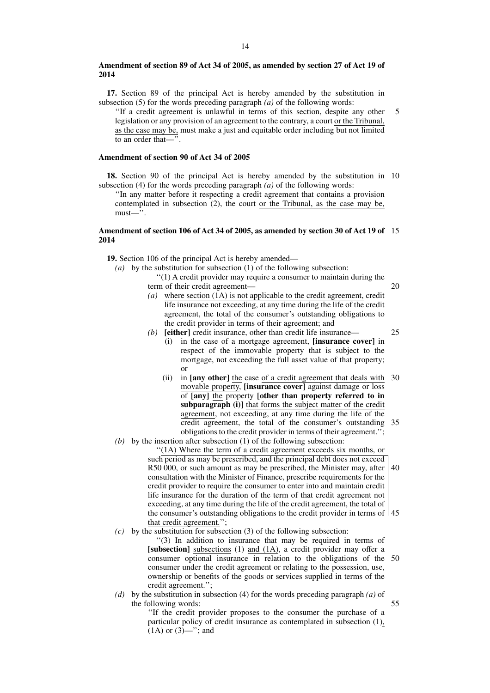#### **Amendment of section 89 of Act 34 of 2005, as amended by section 27 of Act 19 of 2014**

**17.** Section 89 of the principal Act is hereby amended by the substitution in subsection (5) for the words preceding paragraph *(a)* of the following words:

''If a credit agreement is unlawful in terms of this section, despite any other legislation or any provision of an agreement to the contrary, a court or the Tribunal, as the case may be, must make a just and equitable order including but not limited to an order that—<sup>1</sup> 5

#### **Amendment of section 90 of Act 34 of 2005**

**18.** Section 90 of the principal Act is hereby amended by the substitution in 10 subsection (4) for the words preceding paragraph *(a)* of the following words:

''In any matter before it respecting a credit agreement that contains a provision contemplated in subsection (2), the court or the Tribunal, as the case may be, must—''.

#### **Amendment of section 106 of Act 34 of 2005, as amended by section 30 of Act 19 of** 15 **2014**

**19.** Section 106 of the principal Act is hereby amended—

*(a)* by the substitution for subsection (1) of the following subsection:

''(1) A credit provider may require a consumer to maintain during the term of their credit agreement— 20

- *(a)* where section (1A) is not applicable to the credit agreement, credit life insurance not exceeding, at any time during the life of the credit agreement, the total of the consumer's outstanding obligations to the credit provider in terms of their agreement; and
- *(b)* **[either]** credit insurance, other than credit life insurance—

25

- (i) in the case of a mortgage agreement, **[insurance cover]** in respect of the immovable property that is subject to the mortgage, not exceeding the full asset value of that property; or
- (ii) in **[any other]** the case of a credit agreement that deals with movable property, **[insurance cover]** against damage or loss of **[any]** the property **[other than property referred to in subparagraph (i)]** that forms the subject matter of the credit agreement, not exceeding, at any time during the life of the credit agreement, the total of the consumer's outstanding 35 obligations to the credit provider in terms of their agreement.''; 30
- *(b)* by the insertion after subsection (1) of the following subsection:

''(1A) Where the term of a credit agreement exceeds six months, or such period as may be prescribed, and the principal debt does not exceed R50 000, or such amount as may be prescribed, the Minister may, after 40 consultation with the Minister of Finance, prescribe requirements for the credit provider to require the consumer to enter into and maintain credit life insurance for the duration of the term of that credit agreement not exceeding, at any time during the life of the credit agreement, the total of the consumer's outstanding obligations to the credit provider in terms of 45 that credit agreement.'';

*(c)* by the substitution for subsection (3) of the following subsection:

''(3) In addition to insurance that may be required in terms of **[subsection]** subsections (1) and (1A), a credit provider may offer a consumer optional insurance in relation to the obligations of the 50 consumer under the credit agreement or relating to the possession, use, ownership or benefits of the goods or services supplied in terms of the credit agreement.'';

*(d)* by the substitution in subsection (4) for the words preceding paragraph *(a)* of the following words: 55

> ''If the credit provider proposes to the consumer the purchase of a particular policy of credit insurance as contemplated in subsection (1),  $(1A)$  or  $(3)$ —"; and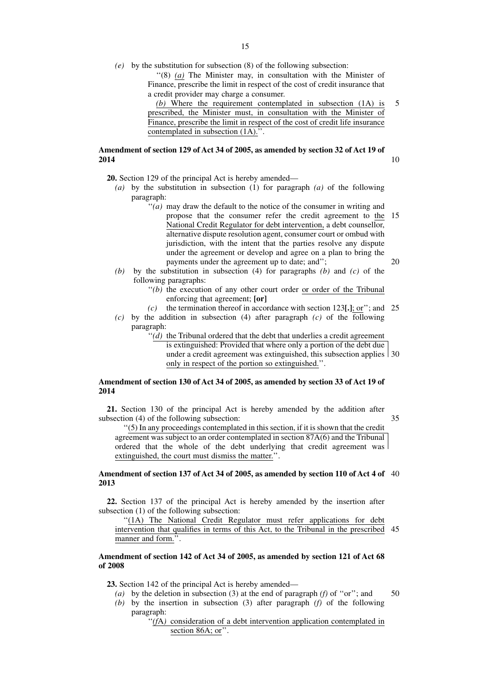*(e)* by the substitution for subsection (8) of the following subsection:

''(8) *(a)* The Minister may, in consultation with the Minister of Finance, prescribe the limit in respect of the cost of credit insurance that a credit provider may charge a consumer.

*(b)* Where the requirement contemplated in subsection (1A) is prescribed, the Minister must, in consultation with the Minister of Finance, prescribe the limit in respect of the cost of credit life insurance contemplated in subsection (1A).''. 5

## **Amendment of section 129 of Act 34 of 2005, as amended by section 32 of Act 19 of 2014**

**20.** Section 129 of the principal Act is hereby amended—

- *(a)* by the substitution in subsection (1) for paragraph *(a)* of the following paragraph:
	- ''*(a)* may draw the default to the notice of the consumer in writing and propose that the consumer refer the credit agreement to the National Credit Regulator for debt intervention, a debt counsellor, alternative dispute resolution agent, consumer court or ombud with jurisdiction, with the intent that the parties resolve any dispute under the agreement or develop and agree on a plan to bring the payments under the agreement up to date; and''; 15 20
- *(b)* by the substitution in subsection (4) for paragraphs *(b)* and *(c)* of the following paragraphs:
	- $''(b)$  the execution of any other court order or order of the Tribunal enforcing that agreement; **[or]**
	- *(c)* the termination thereof in accordance with section 123**[.]**; or''; and 25
- *(c)* by the addition in subsection (4) after paragraph *(c)* of the following paragraph:
	- ''*(d)* the Tribunal ordered that the debt that underlies a credit agreement

is extinguished: Provided that where only a portion of the debt due

under a credit agreement was extinguished, this subsection applies 30 only in respect of the portion so extinguished.''.

## **Amendment of section 130 of Act 34 of 2005, as amended by section 33 of Act 19 of 2014**

**21.** Section 130 of the principal Act is hereby amended by the addition after subsection (4) of the following subsection:

35

10

''(5) In any proceedings contemplated in this section, if it is shown that the credit agreement was subject to an order contemplated in section 87A(6) and the Tribunal ordered that the whole of the debt underlying that credit agreement was extinguished, the court must dismiss the matter.''.

#### **Amendment of section 137 of Act 34 of 2005, as amended by section 110 of Act 4 of** 40 **2013**

**22.** Section 137 of the principal Act is hereby amended by the insertion after subsection (1) of the following subsection:

"(1A) The National Credit Regulator must refer applications for debt intervention that qualifies in terms of this Act, to the Tribunal in the prescribed 45 manner and form.''.

#### **Amendment of section 142 of Act 34 of 2005, as amended by section 121 of Act 68 of 2008**

**23.** Section 142 of the principal Act is hereby amended—

- *(a)* by the deletion in subsection (3) at the end of paragraph *(f)* of ''or''; and 50
- *(b)* by the insertion in subsection (3) after paragraph *(f)* of the following paragraph:

''*(f*A*)* consideration of a debt intervention application contemplated in section 86A; or".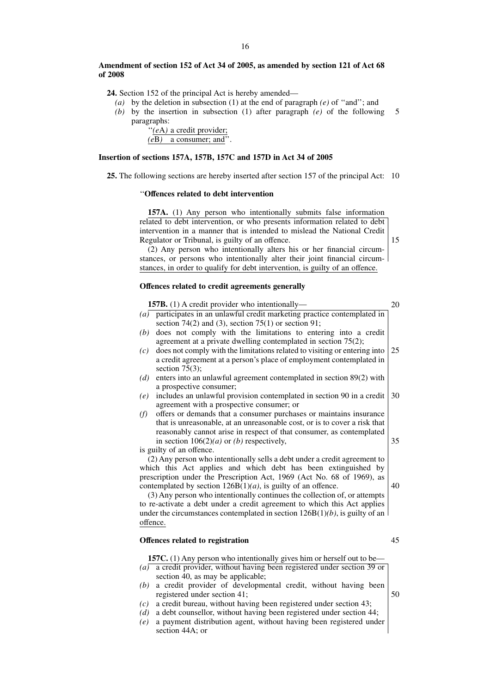#### **Amendment of section 152 of Act 34 of 2005, as amended by section 121 of Act 68 of 2008**

**24.** Section 152 of the principal Act is hereby amended—

*(a)* by the deletion in subsection (1) at the end of paragraph *(e)* of ''and''; and

*(b)* by the insertion in subsection (1) after paragraph *(e)* of the following paragraphs: 5

> ''*(e*A*)* a credit provider; *(e*B*)* a consumer; and''.

### **Insertion of sections 157A, 157B, 157C and 157D in Act 34 of 2005**

**25.** The following sections are hereby inserted after section 157 of the principal Act: 10

### ''**Offences related to debt intervention**

**157A.** (1) Any person who intentionally submits false information related to debt intervention, or who presents information related to debt intervention in a manner that is intended to mislead the National Credit Regulator or Tribunal, is guilty of an offence.

(2) Any person who intentionally alters his or her financial circumstances, or persons who intentionally alter their joint financial circumstances, in order to qualify for debt intervention, is guilty of an offence.

#### **Offences related to credit agreements generally**

**157B.** (1) A credit provider who intentionally— *(a)* participates in an unlawful credit marketing practice contemplated in section 74(2) and (3), section 75(1) or section 91; *(b)* does not comply with the limitations to entering into a credit agreement at a private dwelling contemplated in section 75(2); *(c)* does not comply with the limitations related to visiting or entering into a credit agreement at a person's place of employment contemplated in section  $75(3)$ ; *(d)* enters into an unlawful agreement contemplated in section 89(2) with a prospective consumer; *(e)* includes an unlawful provision contemplated in section 90 in a credit agreement with a prospective consumer; or *(f)* offers or demands that a consumer purchases or maintains insurance that is unreasonable, at an unreasonable cost, or is to cover a risk that reasonably cannot arise in respect of that consumer, as contemplated in section  $106(2)(a)$  or *(b)* respectively, is guilty of an offence. (2) Any person who intentionally sells a debt under a credit agreement to which this Act applies and which debt has been extinguished by prescription under the Prescription Act, 1969 (Act No. 68 of 1969), as contemplated by section  $126B(1)(a)$ , is guilty of an offence. 20 25 30 35 40

(3) Any person who intentionally continues the collection of, or attempts to re-activate a debt under a credit agreement to which this Act applies under the circumstances contemplated in section 126B(1)*(b)*, is guilty of an offence.

### **Offences related to registration**

**157C.** (1) Any person who intentionally gives him or herself out to be—

- *(a)* a credit provider, without having been registered under section 39 or section 40, as may be applicable;
- *(b)* a credit provider of developmental credit, without having been registered under section 41;
- *(c)* a credit bureau, without having been registered under section 43;
- *(d)* a debt counsellor, without having been registered under section 44;
- *(e)* a payment distribution agent, without having been registered under section 44A; or

45

50

15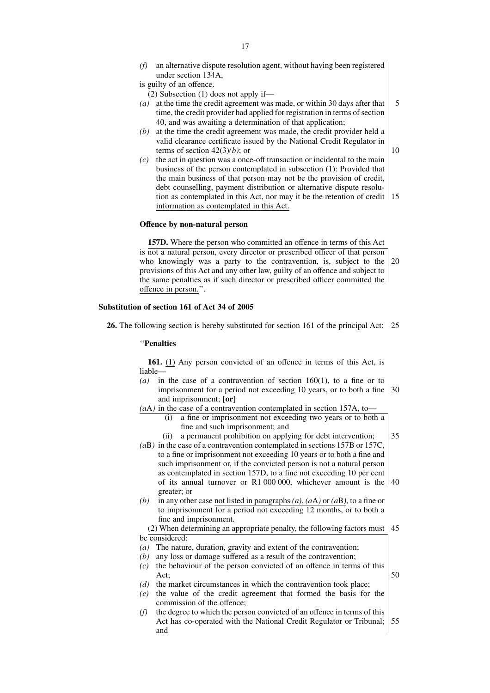*(f)* an alternative dispute resolution agent, without having been registered under section 134A,

is guilty of an offence.

- (2) Subsection (1) does not apply if—
- *(a)* at the time the credit agreement was made, or within 30 days after that time, the credit provider had applied for registration in terms of section 40, and was awaiting a determination of that application; 5
- *(b)* at the time the credit agreement was made, the credit provider held a valid clearance certificate issued by the National Credit Regulator in terms of section 42(3)*(b)*; or
- 10
- *(c)* the act in question was a once-off transaction or incidental to the main business of the person contemplated in subsection (1): Provided that the main business of that person may not be the provision of credit, debt counselling, payment distribution or alternative dispute resolution as contemplated in this Act, nor may it be the retention of credit 15 information as contemplated in this Act.

### **Offence by non-natural person**

**157D.** Where the person who committed an offence in terms of this Act is not a natural person, every director or prescribed officer of that person who knowingly was a party to the contravention, is, subject to the provisions of this Act and any other law, guilty of an offence and subject to the same penalties as if such director or prescribed officer committed the offence in person.''. 20

#### **Substitution of section 161 of Act 34 of 2005**

**26.** The following section is hereby substituted for section 161 of the principal Act: 25

#### ''**Penalties**

**161.** (1) Any person convicted of an offence in terms of this Act, is liable—

- *(a)* in the case of a contravention of section 160(1), to a fine or to imprisonment for a period not exceeding 10 years, or to both a fine 30 and imprisonment; **[or]**
- *(a*A*)* in the case of a contravention contemplated in section 157A, to—
	- (i) a fine or imprisonment not exceeding two years or to both a fine and such imprisonment; and
	- (ii) a permanent prohibition on applying for debt intervention; 35
- *(a*B*)* in the case of a contravention contemplated in sections 157B or 157C, to a fine or imprisonment not exceeding 10 years or to both a fine and such imprisonment or, if the convicted person is not a natural person as contemplated in section 157D, to a fine not exceeding 10 per cent of its annual turnover or R1 000 000, whichever amount is the 40 greater; or
- *(b)* in any other case not listed in paragraphs *(a)*, *(aA)* or *(aB)*, to a fine or to imprisonment for a period not exceeding 12 months, or to both a fine and imprisonment.

(2) When determining an appropriate penalty, the following factors must 45 be considered:

- *(a)* The nature, duration, gravity and extent of the contravention;
- *(b)* any loss or damage suffered as a result of the contravention;
- *(c)* the behaviour of the person convicted of an offence in terms of this  $Act$ 50
- *(d)* the market circumstances in which the contravention took place;
- *(e)* the value of the credit agreement that formed the basis for the commission of the offence;
- *(f)* the degree to which the person convicted of an offence in terms of this Act has co-operated with the National Credit Regulator or Tribunal; and 55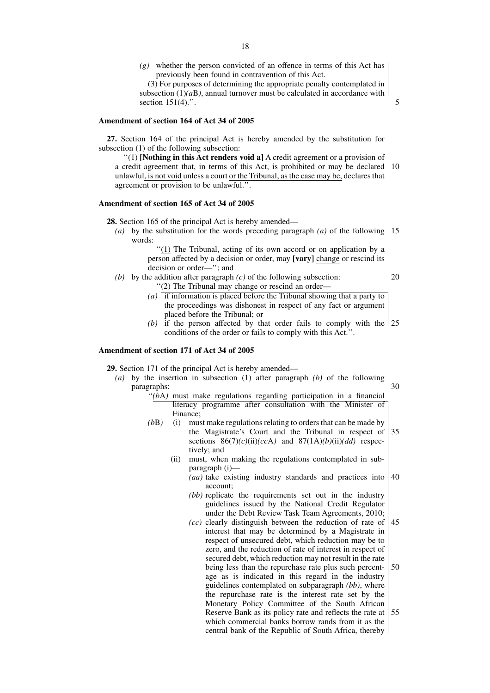*(g)* whether the person convicted of an offence in terms of this Act has previously been found in contravention of this Act.

(3) For purposes of determining the appropriate penalty contemplated in subsection  $(1)(aB)$ , annual turnover must be calculated in accordance with section 151(4).".

5

20

#### **Amendment of section 164 of Act 34 of 2005**

**27.** Section 164 of the principal Act is hereby amended by the substitution for subsection (1) of the following subsection:

''(1) **[Nothing in this Act renders void a]** A credit agreement or a provision of a credit agreement that, in terms of this Act, is prohibited or may be declared 10 unlawful, is not void unless a court or the Tribunal, as the case may be, declares that agreement or provision to be unlawful.''.

#### **Amendment of section 165 of Act 34 of 2005**

**28.** Section 165 of the principal Act is hereby amended—

*(a)* by the substitution for the words preceding paragraph *(a)* of the following 15 words:

> ''(1) The Tribunal, acting of its own accord or on application by a person affected by a decision or order, may **[vary]** change or rescind its decision or order—''; and

- *(b)* by the addition after paragraph *(c)* of the following subsection: ''(2) The Tribunal may change or rescind an order—
	- *(a)* if information is placed before the Tribunal showing that a party to the proceedings was dishonest in respect of any fact or argument placed before the Tribunal; or
	- (b) if the person affected by that order fails to comply with the  $|25$ conditions of the order or fails to comply with this Act.''.

#### **Amendment of section 171 of Act 34 of 2005**

**29.** Section 171 of the principal Act is hereby amended—

- *(a)* by the insertion in subsection (1) after paragraph *(b)* of the following paragraphs: 30
	- $\hat{b}$ <sup>'</sup>( $\bar{b}$ A) must make regulations regarding participation in a financial literacy programme after consultation with the Minister of Finance;
	- *(b*B*)* (i) must make regulations relating to orders that can be made by the Magistrate's Court and the Tribunal in respect of sections  $86(7)(c)(ii)(ccA)$  and  $87(1A)(b)(ii)(dd)$  respectively; and 35
		- (ii) must, when making the regulations contemplated in subparagraph (i)—
			- *(aa)* take existing industry standards and practices into account; 40
			- *(bb)* replicate the requirements set out in the industry guidelines issued by the National Credit Regulator under the Debt Review Task Team Agreements, 2010;
			- *(cc)* clearly distinguish between the reduction of rate of interest that may be determined by a Magistrate in respect of unsecured debt, which reduction may be to zero, and the reduction of rate of interest in respect of secured debt, which reduction may not result in the rate being less than the repurchase rate plus such percentage as is indicated in this regard in the industry guidelines contemplated on subparagraph *(bb)*, where the repurchase rate is the interest rate set by the Monetary Policy Committee of the South African Reserve Bank as its policy rate and reflects the rate at which commercial banks borrow rands from it as the central bank of the Republic of South Africa, thereby 45 50 55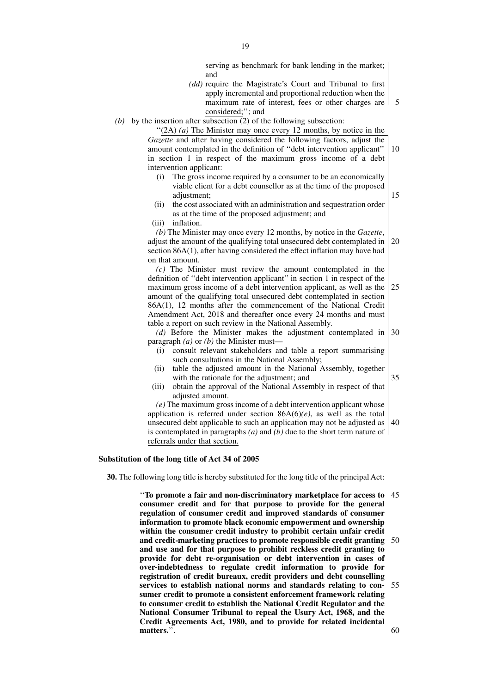serving as benchmark for bank lending in the market; and

*(dd)* require the Magistrate's Court and Tribunal to first apply incremental and proportional reduction when the maximum rate of interest, fees or other charges are 5 considered;''; and

15

35

*(b)* by the insertion after subsection (2) of the following subsection:

''(2A) *(a)* The Minister may once every 12 months, by notice in the *Gazette* and after having considered the following factors, adjust the amount contemplated in the definition of ''debt intervention applicant'' in section 1 in respect of the maximum gross income of a debt intervention applicant: 10

- (i) The gross income required by a consumer to be an economically viable client for a debt counsellor as at the time of the proposed adjustment:
- (ii) the cost associated with an administration and sequestration order as at the time of the proposed adjustment; and
- (iii) inflation.

*(b)* The Minister may once every 12 months, by notice in the *Gazette*, adjust the amount of the qualifying total unsecured debt contemplated in section 86A(1), after having considered the effect inflation may have had on that amount. 20

*(c)* The Minister must review the amount contemplated in the definition of ''debt intervention applicant'' in section 1 in respect of the maximum gross income of a debt intervention applicant, as well as the amount of the qualifying total unsecured debt contemplated in section 86A(1), 12 months after the commencement of the National Credit Amendment Act, 2018 and thereafter once every 24 months and must table a report on such review in the National Assembly. 25

*(d)* Before the Minister makes the adjustment contemplated in paragraph *(a)* or *(b)* the Minister must— 30

- (i) consult relevant stakeholders and table a report summarising such consultations in the National Assembly;
- (ii) table the adjusted amount in the National Assembly, together with the rationale for the adjustment; and
- (iii) obtain the approval of the National Assembly in respect of that adjusted amount.

*(e)* The maximum gross income of a debt intervention applicant whose application is referred under section  $86A(6)(e)$ , as well as the total unsecured debt applicable to such an application may not be adjusted as is contemplated in paragraphs *(a)* and *(b)* due to the short term nature of referrals under that section. 40

#### **Substitution of the long title of Act 34 of 2005**

**30.** The following long title is hereby substituted for the long title of the principal Act:

''**To promote a fair and non-discriminatory marketplace for access to** 45 **consumer credit and for that purpose to provide for the general regulation of consumer credit and improved standards of consumer information to promote black economic empowerment and ownership within the consumer credit industry to prohibit certain unfair credit and credit-marketing practices to promote responsible credit granting** 50 **and use and for that purpose to prohibit reckless credit granting to provide for debt re-organisation or debt intervention in cases of over-indebtedness to regulate credit information to provide for registration of credit bureaux, credit providers and debt counselling services to establish national norms and standards relating to con-**55 **sumer credit to promote a consistent enforcement framework relating to consumer credit to establish the National Credit Regulator and the National Consumer Tribunal to repeal the Usury Act, 1968, and the Credit Agreements Act, 1980, and to provide for related incidental matters.**''. 60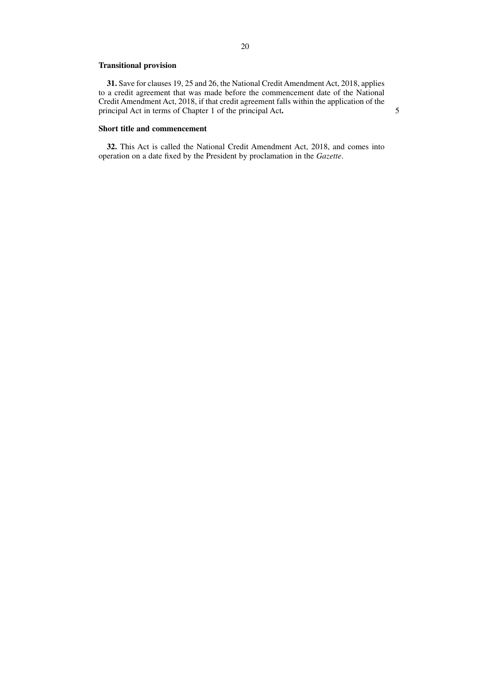## **Transitional provision**

**31.** Save for clauses 19, 25 and 26, the National Credit Amendment Act, 2018, applies to a credit agreement that was made before the commencement date of the National Credit Amendment Act, 2018, if that credit agreement falls within the application of the principal Act in terms of Chapter 1 of the principal Act**.**

5

## **Short title and commencement**

**32.** This Act is called the National Credit Amendment Act, 2018, and comes into operation on a date fixed by the President by proclamation in the *Gazette*.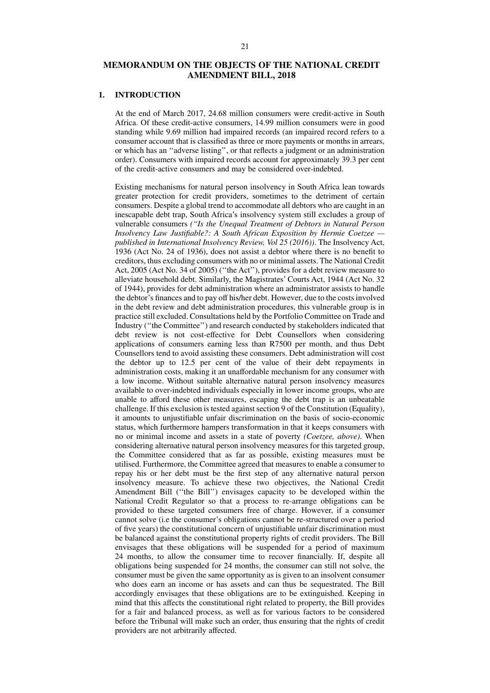## **MEMORANDUM ON THE OBJECTS OF THE NATIONAL CREDIT AMENDMENT BILL, 2018**

#### **1. INTRODUCTION**

At the end of March 2017, 24.68 million consumers were credit-active in South Africa. Of these credit-active consumers, 14.99 million consumers were in good standing while 9.69 million had impaired records (an impaired record refers to a consumer account that is classified as three or more payments or months in arrears, or which has an ''adverse listing'', or that reflects a judgment or an administration order). Consumers with impaired records account for approximately 39.3 per cent of the credit-active consumers and may be considered over-indebted.

Existing mechanisms for natural person insolvency in South Africa lean towards greater protection for credit providers, sometimes to the detriment of certain consumers. Despite a global trend to accommodate all debtors who are caught in an inescapable debt trap, South Africa's insolvency system still excludes a group of vulnerable consumers *(''Is the Unequal Treatment of Debtors in Natural Person Insolvency Law Justifiable?: A South African Exposition by Hermie Coetzee published in International Insolvency Review, Vol 25 (2016))*. The Insolvency Act, 1936 (Act No. 24 of 1936), does not assist a debtor where there is no benefit to creditors, thus excluding consumers with no or minimal assets. The National Credit Act, 2005 (Act No. 34 of 2005) (''the Act''), provides for a debt review measure to alleviate household debt. Similarly, the Magistrates' Courts Act, 1944 (Act No. 32 of 1944), provides for debt administration where an administrator assists to handle the debtor's finances and to pay off his/her debt. However, due to the costs involved in the debt review and debt administration procedures, this vulnerable group is in practice still excluded. Consultations held by the Portfolio Committee on Trade and Industry (''the Committee'') and research conducted by stakeholders indicated that debt review is not cost-effective for Debt Counsellors when considering applications of consumers earning less than R7500 per month, and thus Debt Counsellors tend to avoid assisting these consumers. Debt administration will cost the debtor up to 12.5 per cent of the value of their debt repayments in administration costs, making it an unaffordable mechanism for any consumer with a low income. Without suitable alternative natural person insolvency measures available to over-indebted individuals especially in lower income groups, who are unable to afford these other measures, escaping the debt trap is an unbeatable challenge. If this exclusion is tested against section 9 of the Constitution (Equality), it amounts to unjustifiable unfair discrimination on the basis of socio-economic status, which furthermore hampers transformation in that it keeps consumers with no or minimal income and assets in a state of poverty *(Coetzee, above)*. When considering alternative natural person insolvency measures for this targeted group, the Committee considered that as far as possible, existing measures must be utilised. Furthermore, the Committee agreed that measures to enable a consumer to repay his or her debt must be the first step of any alternative natural person insolvency measure. To achieve these two objectives, the National Credit Amendment Bill (''the Bill'') envisages capacity to be developed within the National Credit Regulator so that a process to re-arrange obligations can be provided to these targeted consumers free of charge. However, if a consumer cannot solve (i.e the consumer's obligations cannot be re-structured over a period of five years) the constitutional concern of unjustifiable unfair discrimination must be balanced against the constitutional property rights of credit providers. The Bill envisages that these obligations will be suspended for a period of maximum 24 months, to allow the consumer time to recover financially. If, despite all obligations being suspended for 24 months, the consumer can still not solve, the consumer must be given the same opportunity as is given to an insolvent consumer who does earn an income or has assets and can thus be sequestrated. The Bill accordingly envisages that these obligations are to be extinguished. Keeping in mind that this affects the constitutional right related to property, the Bill provides for a fair and balanced process, as well as for various factors to be considered before the Tribunal will make such an order, thus ensuring that the rights of credit providers are not arbitrarily affected.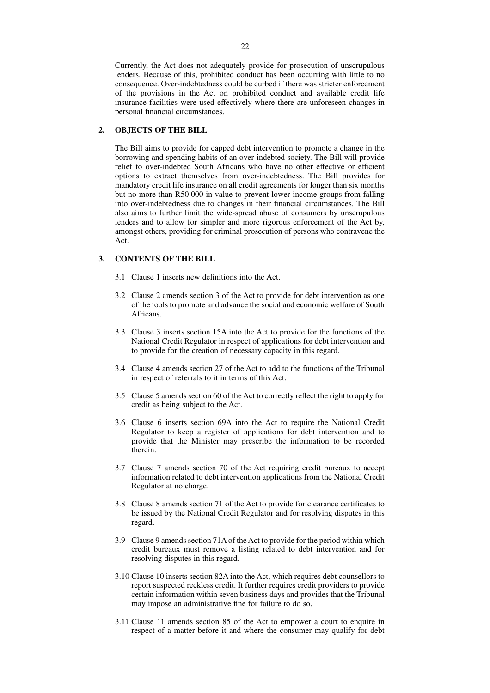Currently, the Act does not adequately provide for prosecution of unscrupulous lenders. Because of this, prohibited conduct has been occurring with little to no consequence. Over-indebtedness could be curbed if there was stricter enforcement of the provisions in the Act on prohibited conduct and available credit life insurance facilities were used effectively where there are unforeseen changes in personal financial circumstances.

## **2. OBJECTS OF THE BILL**

The Bill aims to provide for capped debt intervention to promote a change in the borrowing and spending habits of an over-indebted society. The Bill will provide relief to over-indebted South Africans who have no other effective or efficient options to extract themselves from over-indebtedness. The Bill provides for mandatory credit life insurance on all credit agreements for longer than six months but no more than R50 000 in value to prevent lower income groups from falling into over-indebtedness due to changes in their financial circumstances. The Bill also aims to further limit the wide-spread abuse of consumers by unscrupulous lenders and to allow for simpler and more rigorous enforcement of the Act by, amongst others, providing for criminal prosecution of persons who contravene the Act.

## **3. CONTENTS OF THE BILL**

- 3.1 Clause 1 inserts new definitions into the Act.
- 3.2 Clause 2 amends section 3 of the Act to provide for debt intervention as one of the tools to promote and advance the social and economic welfare of South Africans.
- 3.3 Clause 3 inserts section 15A into the Act to provide for the functions of the National Credit Regulator in respect of applications for debt intervention and to provide for the creation of necessary capacity in this regard.
- 3.4 Clause 4 amends section 27 of the Act to add to the functions of the Tribunal in respect of referrals to it in terms of this Act.
- 3.5 Clause 5 amends section 60 of the Act to correctly reflect the right to apply for credit as being subject to the Act.
- 3.6 Clause 6 inserts section 69A into the Act to require the National Credit Regulator to keep a register of applications for debt intervention and to provide that the Minister may prescribe the information to be recorded therein.
- 3.7 Clause 7 amends section 70 of the Act requiring credit bureaux to accept information related to debt intervention applications from the National Credit Regulator at no charge.
- 3.8 Clause 8 amends section 71 of the Act to provide for clearance certificates to be issued by the National Credit Regulator and for resolving disputes in this regard.
- 3.9 Clause 9 amends section 71A of the Act to provide for the period within which credit bureaux must remove a listing related to debt intervention and for resolving disputes in this regard.
- 3.10 Clause 10 inserts section 82A into the Act, which requires debt counsellors to report suspected reckless credit. It further requires credit providers to provide certain information within seven business days and provides that the Tribunal may impose an administrative fine for failure to do so.
- 3.11 Clause 11 amends section 85 of the Act to empower a court to enquire in respect of a matter before it and where the consumer may qualify for debt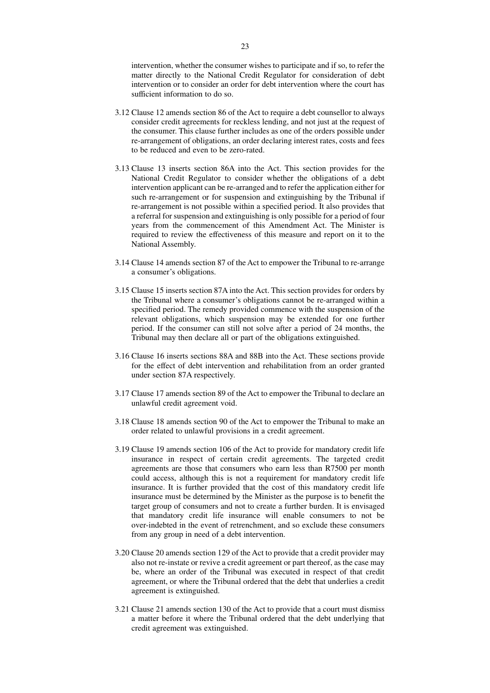intervention, whether the consumer wishes to participate and if so, to refer the matter directly to the National Credit Regulator for consideration of debt intervention or to consider an order for debt intervention where the court has sufficient information to do so.

- 3.12 Clause 12 amends section 86 of the Act to require a debt counsellor to always consider credit agreements for reckless lending, and not just at the request of the consumer. This clause further includes as one of the orders possible under re-arrangement of obligations, an order declaring interest rates, costs and fees to be reduced and even to be zero-rated.
- 3.13 Clause 13 inserts section 86A into the Act. This section provides for the National Credit Regulator to consider whether the obligations of a debt intervention applicant can be re-arranged and to refer the application either for such re-arrangement or for suspension and extinguishing by the Tribunal if re-arrangement is not possible within a specified period. It also provides that a referral for suspension and extinguishing is only possible for a period of four years from the commencement of this Amendment Act. The Minister is required to review the effectiveness of this measure and report on it to the National Assembly.
- 3.14 Clause 14 amends section 87 of the Act to empower the Tribunal to re-arrange a consumer's obligations.
- 3.15 Clause 15 inserts section 87A into the Act. This section provides for orders by the Tribunal where a consumer's obligations cannot be re-arranged within a specified period. The remedy provided commence with the suspension of the relevant obligations, which suspension may be extended for one further period. If the consumer can still not solve after a period of 24 months, the Tribunal may then declare all or part of the obligations extinguished.
- 3.16 Clause 16 inserts sections 88A and 88B into the Act. These sections provide for the effect of debt intervention and rehabilitation from an order granted under section 87A respectively.
- 3.17 Clause 17 amends section 89 of the Act to empower the Tribunal to declare an unlawful credit agreement void.
- 3.18 Clause 18 amends section 90 of the Act to empower the Tribunal to make an order related to unlawful provisions in a credit agreement.
- 3.19 Clause 19 amends section 106 of the Act to provide for mandatory credit life insurance in respect of certain credit agreements. The targeted credit agreements are those that consumers who earn less than R7500 per month could access, although this is not a requirement for mandatory credit life insurance. It is further provided that the cost of this mandatory credit life insurance must be determined by the Minister as the purpose is to benefit the target group of consumers and not to create a further burden. It is envisaged that mandatory credit life insurance will enable consumers to not be over-indebted in the event of retrenchment, and so exclude these consumers from any group in need of a debt intervention.
- 3.20 Clause 20 amends section 129 of the Act to provide that a credit provider may also not re-instate or revive a credit agreement or part thereof, as the case may be, where an order of the Tribunal was executed in respect of that credit agreement, or where the Tribunal ordered that the debt that underlies a credit agreement is extinguished.
- 3.21 Clause 21 amends section 130 of the Act to provide that a court must dismiss a matter before it where the Tribunal ordered that the debt underlying that credit agreement was extinguished.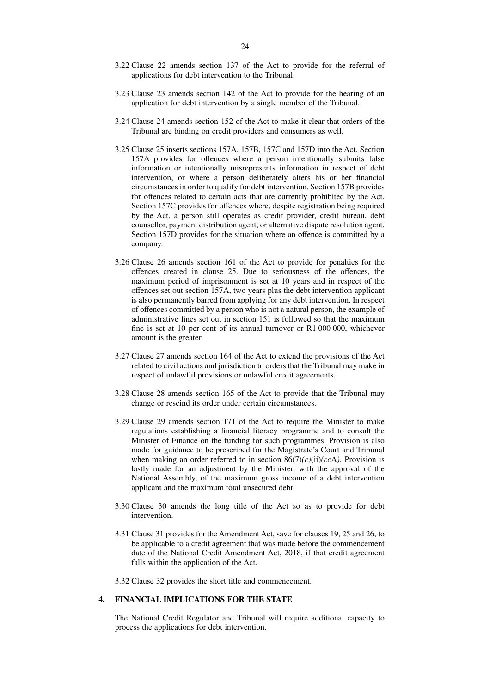- 3.22 Clause 22 amends section 137 of the Act to provide for the referral of applications for debt intervention to the Tribunal.
- 3.23 Clause 23 amends section 142 of the Act to provide for the hearing of an application for debt intervention by a single member of the Tribunal.
- 3.24 Clause 24 amends section 152 of the Act to make it clear that orders of the Tribunal are binding on credit providers and consumers as well.
- 3.25 Clause 25 inserts sections 157A, 157B, 157C and 157D into the Act. Section 157A provides for offences where a person intentionally submits false information or intentionally misrepresents information in respect of debt intervention, or where a person deliberately alters his or her financial circumstances in order to qualify for debt intervention. Section 157B provides for offences related to certain acts that are currently prohibited by the Act. Section 157C provides for offences where, despite registration being required by the Act, a person still operates as credit provider, credit bureau, debt counsellor, payment distribution agent, or alternative dispute resolution agent. Section 157D provides for the situation where an offence is committed by a company.
- 3.26 Clause 26 amends section 161 of the Act to provide for penalties for the offences created in clause 25. Due to seriousness of the offences, the maximum period of imprisonment is set at 10 years and in respect of the offences set out section 157A, two years plus the debt intervention applicant is also permanently barred from applying for any debt intervention. In respect of offences committed by a person who is not a natural person, the example of administrative fines set out in section 151 is followed so that the maximum fine is set at 10 per cent of its annual turnover or R1 000 000, whichever amount is the greater.
- 3.27 Clause 27 amends section 164 of the Act to extend the provisions of the Act related to civil actions and jurisdiction to orders that the Tribunal may make in respect of unlawful provisions or unlawful credit agreements.
- 3.28 Clause 28 amends section 165 of the Act to provide that the Tribunal may change or rescind its order under certain circumstances.
- 3.29 Clause 29 amends section 171 of the Act to require the Minister to make regulations establishing a financial literacy programme and to consult the Minister of Finance on the funding for such programmes. Provision is also made for guidance to be prescribed for the Magistrate's Court and Tribunal when making an order referred to in section  $86(7)(c)(ii)(cc)$ . Provision is lastly made for an adjustment by the Minister, with the approval of the National Assembly, of the maximum gross income of a debt intervention applicant and the maximum total unsecured debt.
- 3.30 Clause 30 amends the long title of the Act so as to provide for debt intervention.
- 3.31 Clause 31 provides for the Amendment Act, save for clauses 19, 25 and 26, to be applicable to a credit agreement that was made before the commencement date of the National Credit Amendment Act, 2018, if that credit agreement falls within the application of the Act.

3.32 Clause 32 provides the short title and commencement.

# **4. FINANCIAL IMPLICATIONS FOR THE STATE**

The National Credit Regulator and Tribunal will require additional capacity to process the applications for debt intervention.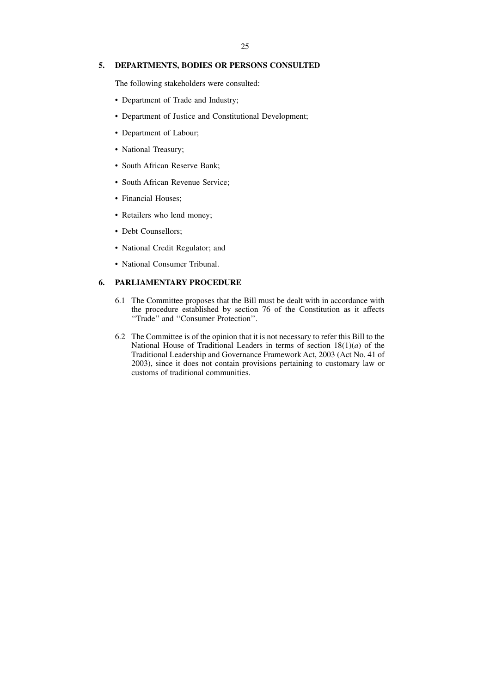## **5. DEPARTMENTS, BODIES OR PERSONS CONSULTED**

The following stakeholders were consulted:

- Department of Trade and Industry;
- Department of Justice and Constitutional Development;
- Department of Labour;
- National Treasury;
- South African Reserve Bank;
- South African Revenue Service;
- Financial Houses;
- Retailers who lend money;
- Debt Counsellors:
- National Credit Regulator; and
- National Consumer Tribunal.

#### **6. PARLIAMENTARY PROCEDURE**

- 6.1 The Committee proposes that the Bill must be dealt with in accordance with the procedure established by section 76 of the Constitution as it affects ''Trade'' and ''Consumer Protection''.
- 6.2 The Committee is of the opinion that it is not necessary to refer this Bill to the National House of Traditional Leaders in terms of section 18(1)(*a*) of the Traditional Leadership and Governance Framework Act, 2003 (Act No. 41 of 2003), since it does not contain provisions pertaining to customary law or customs of traditional communities.